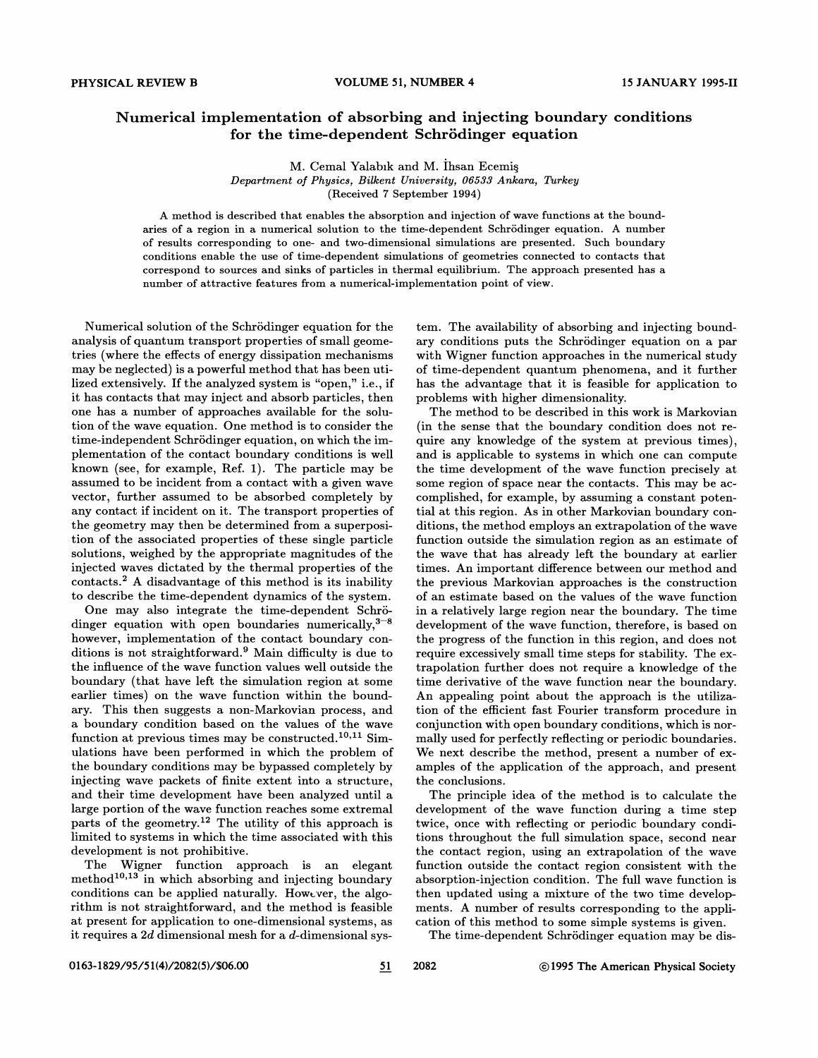## Numerical implementation of absorbing and injecting boundary conditions for the time-dependent Schrödinger equation

M. Cemal Yalabik and M. Ihsan Ecemis Department of Physics, Bilkent University, 06688 Ankara, Turkey (Received ? September 1994)

A method is described that enables the absorption and injection of wave functions at the boundaries of a region in a numerical solution to the time-dependent Schrodinger equation. A number of results corresponding to one- and two-dimensional simulations are presented. Such boundary conditions enable the use of time-dependent simulations of geometries connected to contacts that correspond to sources and sinks of particles in thermal equilibrium. The approach presented has a number of attractive features from a numerical-implementation point of view.

Numerical solution of the Schrodinger equation for the analysis of quantum transport properties of small geometries (where the effects of energy dissipation mechanisms may be neglected) is a powerful method that has been utilized extensively. If the analyzed system is "open, " i.e., if it has contacts that may inject and absorb particles, then one has a number of approaches available for the solution of the wave equation. One method is to consider the time-independent Schrödinger equation, on which the implementation of the contact boundary conditions is well known (see, for example, Ref. 1). The particle may be assumed to be incident from a contact with a given wave vector, further assumed to be absorbed completely by any contact if incident on it. The transport properties of the geometry may then be determined from a superposition of the associated properties of these single particle solutions, weighed by the appropriate magnitudes of the injected waves dictated by the thermal properties of the contacts.<sup>2</sup> A disadvantage of this method is its inability to describe the time-dependent dynamics of the system.

One may also integrate the time-dependent Schrödinger equation with open boundaries numerically, $3-8$ however, implementation of the contact boundary conditions is not straightforward.<sup>9</sup> Main difficulty is due to the inHuence of the wave function values well outside the boundary (that have left the simulation region at some earlier times) on the wave function within the boundary. This then suggests a non-Markovian process, and a boundary condition based on the values of the wave function at previous times may be constructed.<sup>10,11</sup> Simulations have been performed in which the problem of the boundary conditions may be bypassed completely by injecting wave packets of finite extent into a structure, and their time development have been analyzed until a large portion of the wave function reaches some extremal parts of the geometry.<sup>12</sup> The utility of this approach is limited to systems in which the time associated with this development is not prohibitive.

The Wigner function approach is an elegant  $\rm{method^{10,13}}$  in which absorbing and injecting boundary conditions can be applied naturally. However, the algorithm is not straightforward, and the method is feasible at present for application to one-dimensional systems, as it requires a  $2d$  dimensional mesh for a  $d$ -dimensional sys-

tem. The availability of absorbing and injecting boundary conditions puts the Schrodinger equation on a par with Wigner function approaches in the numerical study of time-dependent quantum phenomena, and it further has the advantage that it is feasible for application to problems with higher dimensionality.

The method to be described in this work is Markovian (in the sense that the boundary condition does not require any knowledge of the system at previous times), and is applicable to systems in which one can compute the time development of the wave function precisely at some region of space near the contacts. This may be accomplished, for example, by assuming a constant potential at this region. As in other Markovian boundary conditions, the method employs an extrapolation of the wave function outside the simulation region as an estimate of the wave that has already left the boundary at earlier times. An important difference between our method and the previous Markovian approaches is the construction of an estimate based on the values of the wave function in a relatively large region near the boundary. The time development of the wave function, therefore, is based on the progress of the function in this region, and does not require excessively small time steps for stability. The extrapolation further does not require a knowledge of the time derivative of the wave function near the boundary. An appealing point about the approach is the utilization of the efficient fast Fourier transform procedure in conjunction with open boundary conditions, which is normally used for perfectly reHecting or periodic boundaries. We next describe the method, present a number of examples of the application of the approach, and present the conclusions.

The principle idea of the method is to calculate the development of the wave function during a time step twice, once with reHecting or periodic boundary conditions throughout the full simulation space, second near the contact region, using an extrapolation of the wave function outside the contact region consistent with the absorption-injection condition. The full wave function is then updated using a mixture of the two time developments. A number of results corresponding to the application of this method to some simple systems is given.

The time-dependent Schrödinger equation may be dis-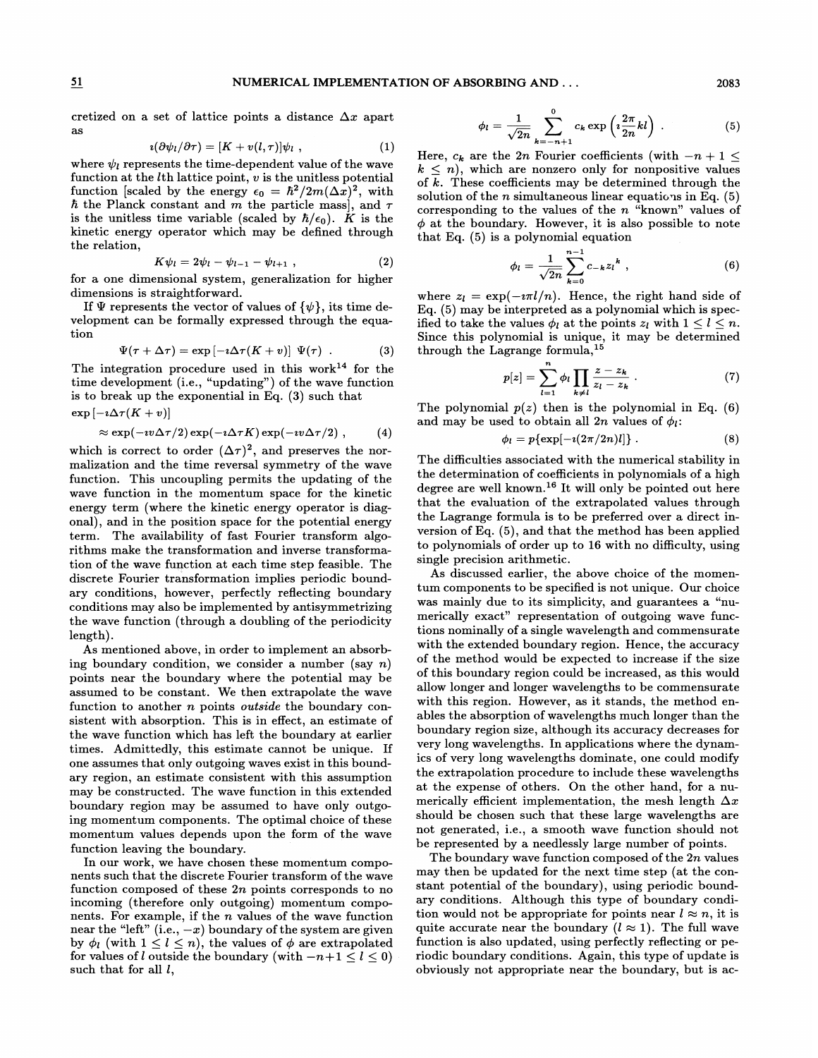## NUMERICAL IMPLEMENTATION OF ABSORBING AND. . . 2083

cretized on a set of lattice points a distance  $\Delta x$  apart as

$$
i(\partial \psi_l/\partial \tau) = [K + v(l,\tau)]\psi_l , \qquad (1)
$$

where  $\psi_l$  represents the time-dependent value of the wave function at the  $l$ th lattice point,  $v$  is the unitless potential function [scaled by the energy  $\epsilon_0 = \hbar^2/2m(\Delta x)^2$ , with  $\hbar$  the Planck constant and m the particle mass], and  $\tau$ is the unitless time variable (scaled by  $\hbar/\epsilon_0$ ). K is the kinetic energy operator which may be defined through the relation,

$$
K\psi_l = 2\psi_l - \psi_{l-1} - \psi_{l+1} \t\t(2)
$$

for a one dimensional system, generalization for higher dimensions is straightforward.

If  $\Psi$  represents the vector of values of  $\{\psi\}$ , its time development can be formally expressed through the equation

$$
\Psi(\tau + \Delta \tau) = \exp \left[ -i \Delta \tau (K + v) \right] \Psi(\tau) . \qquad (3)
$$

The integration procedure used in this work $14$  for the time development (i.e., "updating") of the wave function is to break up the exponential in Eq. (3) such that  $\exp\left[-i\Delta\tau(K+v)\right]$ 

$$
\approx \exp(-\imath v \Delta \tau/2) \exp(-\imath \Delta \tau K) \exp(-\imath v \Delta \tau/2) , \qquad (4)
$$

which is correct to order  $({\Delta}\tau)^2$ , and preserves the normalization and the time reversal symmetry of the wave function. This uncoupling permits the updating of the wave function in the momentum space for the kinetic energy term (where the kinetic energy operator is diagonal), and in the position space for the potential energy term. The availability of fast Fourier transform algorithms make the transformation and inverse transformation of the wave function at each time step feasible. The discrete Fourier transformation implies periodic boundary conditions, however, perfectly reflecting boundary conditions may also be implemented by antisymmetrizing the wave function (through a doubling of the periodicity length).

As mentioned above, in order to implement an absorbing boundary condition, we consider a number (say  $n$ ) points near the boundary where the potential may be assumed to be constant. We then extrapolate the wave function to another *n* points *outside* the boundary consistent with absorption. This is in effect, an estimate of the wave function which has left the boundary at earlier times. Admittedly, this estimate cannot be unique. If one assumes that only outgoing waves exist in this boundary region, an estimate consistent with this assumption may be constructed. The wave function in this extended boundary region may be assumed to have only outgoing momentum components. The optimal choice of these momentum values depends upon the form of the wave function leaving the boundary.

In our work, we have chosen these momentum components such that the discrete Fourier transform of the wave function composed of these  $2n$  points corresponds to no incoming (therefore only outgoing) momentum components. For example, if the  $n$  values of the wave function mear the "left" (i.e.,  $-x$ ) boundary of the system are given<br>by  $\phi_l$  (with  $1 \leq l \leq n$ ), the values of  $\phi$  are extrapolated such that for all  $l$ , from the left  $(i.e., -x)$  boundary of the system are given<br>by  $\phi_l$  (with  $1 \le l \le n$ ), the values of  $\phi$  are extrapolated function<br>for values of loutside the boundary (with  $-n+1 \le l \le 0$ ) riodic localizions

$$
\phi_l = \frac{1}{\sqrt{2n}} \sum_{k=-n+1}^{0} c_k \exp\left(i\frac{2\pi}{2n}kl\right) . \tag{5}
$$

Here,  $c_k$  are the 2n Fourier coefficients (with  $-n+1 \leq$  $k \leq n$ , which are nonzero only for nonpositive values of k. These coefficients may be determined through the solution of the *n* simultaneous linear equations in Eq.  $(5)$ corresponding to the values of the  $n$  "known" values of  $\phi$  at the boundary. However, it is also possible to note that Eq. (5) is a polynomial equation

$$
\phi_l = \frac{1}{\sqrt{2n}} \sum_{k=0}^{n-1} c_{-k} z_l^k , \qquad (6)
$$

where  $z_l = \exp(-i\pi l/n)$ . Hence, the right hand side of Eq. (5) may be interpreted as a polynomial which is specified to take the values  $\phi_l$  at the points  $z_l$  with  $1 \leq l \leq n$ . Since this polynomial is unique, it may be determined through the Lagrange formula,

$$
p[z] = \sum_{l=1}^{n} \phi_l \prod_{k \neq l} \frac{z - z_k}{z_l - z_k} \ . \tag{7}
$$

The polynomial  $p(z)$  then is the polynomial in Eq. (6) and may be used to obtain all  $2n$  values of  $\phi_l$ .

$$
\phi_l = p\{\exp[-i(2\pi/2n)l]\} \ . \tag{8}
$$

The difficulties associated with the numerical stability in the determination of coefficients in polynomials of a high degree are well known.<sup>16</sup> It will only be pointed out here that the evaluation of the extrapolated values through the Lagrange formula is to be preferred over a direct inversion of Eq. (5), and that the method has been applied to polynomials of order up to 16 with no difficulty, using single precision arithmetic.

As discussed earlier, the above choice of the momentum components to be specified is not unique. Our choice was mainly due to its simplicity, and guarantees a "numerically exact" representation of outgoing wave functions nominally of a single wavelength and commensurate with the extended boundary region. Hence, the accuracy of the method would be expected to increase if the size of this boundary region could be increased, as this would allow longer and longer wavelengths to be commensurate with this region. However, as it stands, the method enables the absorption of wavelengths much longer than the boundary region size, although its accuracy decreases for very long wavelengths. In applications where the dynamics of very long wavelengths dominate, one could modify the extrapolation procedure to include these wavelengths at the expense of others. On the other hand, for a numerically efficient implementation, the mesh length  $\Delta x$ should be chosen such that these large wavelengths are not generated, i.e., a smooth wave function should not be represented by a needlessly large number of points.

The boundary wave function composed of the 2n values may then be updated for the next time step (at the constant potential of the boundary), using periodic boundary conditions. Although this type of boundary condition would not be appropriate for points near  $l \approx n$ , it is quite accurate near the boundary  $(l \approx 1)$ . The full wave function is also updated, using perfectly reflecting or periodic boundary conditions. Again, this type of update is obviously not appropriate near the boundary, but is ac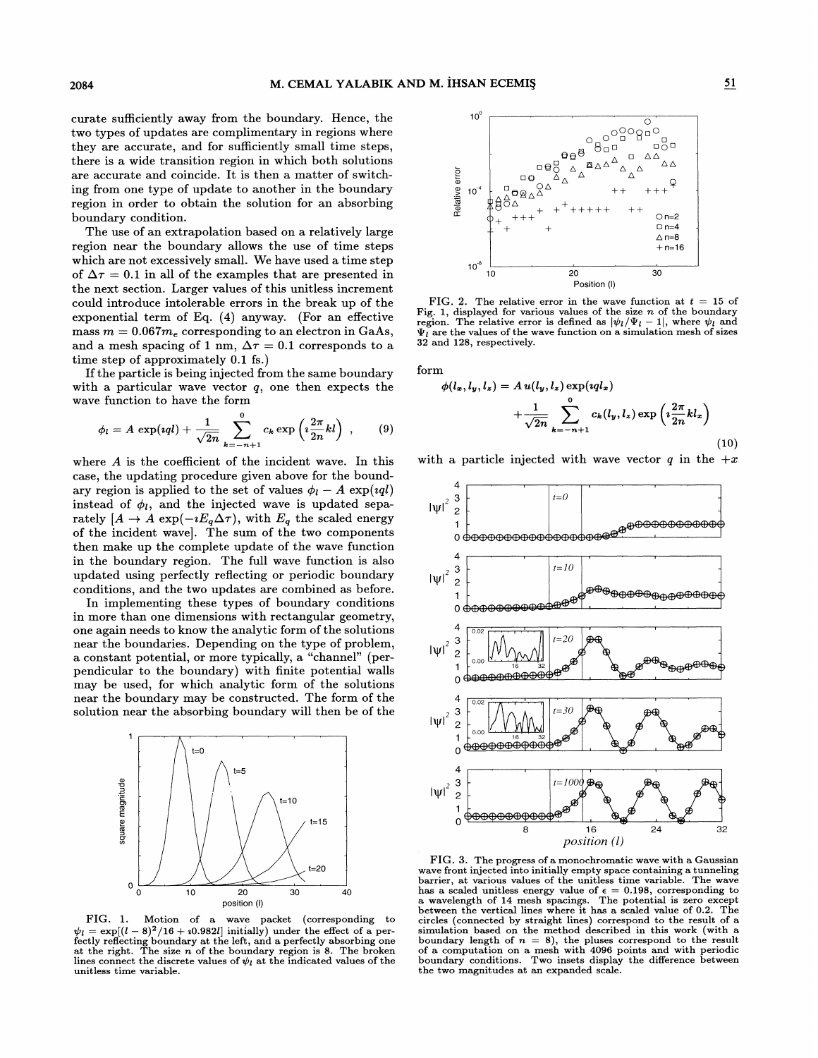curate sufficiently away from the boundary. Hence, the two types of updates are complimentary in regions where they are accurate, and for sufficiently small time steps, there is a wide transition region in which both solutions are accurate and coincide. It is then a matter of switching from one type of update to another in the boundary region in order to obtain the solution for an absorbing boundary condition.

The use of an extrapolation based on a relatively large region near the boundary allows the use of time steps which are not excessively small. We have used a time step of  $\Delta \tau = 0.1$  in all of the examples that are presented in the next section. Larger values of this unitless increment could introduce intolerable errors in the break up of the exponential term of Eq. (4) anyway. (For an effective mass  $m = 0.067 m_e$  corresponding to an electron in GaAs, and a mesh spacing of 1 nm,  $\Delta \tau = 0.1$  corresponds to a time step of approximately 0.1 fs.)

If the particle is being injected from the same boundary with a particular wave vector  $q$ , one then expects the wave function to have the form

$$
\phi_l = A \, \exp(iql) + \frac{1}{\sqrt{2n}} \sum_{k=-n+1}^{0} c_k \exp\left(i\frac{2\pi}{2n}kl\right) \;, \qquad (9)
$$

where  $A$  is the coefficient of the incident wave. In this case, the updating procedure given above for the boundary region is applied to the set of values  $\phi_l - A \exp(i \eta l)$ instead of  $\phi_l$ , and the injected wave is updated separately  $[A \to A \exp(-iE_q \Delta \tau)]$ , with  $E_q$  the scaled energy of the incident wavel. The sum of the two components then make up the complete update of the wave function in the boundary region. The full wave function is also updated using perfectly reflecting or periodic boundary conditions, and the two updates are combined as before.

In implementing these types of boundary conditions in more than one dimensions with rectangular geometry, one again needs to know the analytic form of the solutions near the boundaries. Depending on the type of problem, a constant potential, or more typically, a "channel" (perpendicular to the boundary) with finite potential walls may be used, for which analytic form of the solutions near the boundary may be constructed. The form of the solution near the absorbing boundary will then be of the



 $FIG. 1.$ Motion of a wave packet (corresponding to  $\psi_l = \exp[(l-8)^2/16 + i0.982l]$  initially) under the effect of a perfectly reflecting boundary at the left, and a perfectly absorbing one<br>at the right. The size *n* of the boundary region is 8. The broken lines connect the discrete values of  $\psi_l$  at the indicated values of the unitless time variable.



FIG. 2. The relative error in the wave function at  $t = 15$  of Fig. 1, displayed for various values of the size *n* of the boundary<br>region. The relative error is defined as  $|\psi_l/\Psi_l - 1|$ , where  $\psi_l$  and  $\Psi_l$  are the values of the wave function on a simulation mesh of sizes 32 and 128, respectively.

form

$$
\phi(l_x, l_y, l_z) = A u(l_y, l_z) \exp(iql_x) + \frac{1}{\sqrt{2n}} \sum_{k=-n+1}^{0} c_k(l_y, l_z) \exp\left(i\frac{2\pi}{2n}kl_x\right)
$$
(10)

with a particle injected with wave vector q in the  $+x$ 



FIG. 3. The progress of a monochromatic wave with a Gaussian wave front injected into initially empty space containing a tunneling barrier, at various values of the unitless time variable. The wave has a scaled unitless energy value of  $\epsilon = 0.198$ , corresponding to a wavelength of 14 mesh spacings. The potential is zero except between the vertical lines where it has a scaled value of 0.2. The circles (connected by straight lines) correspond to the result of a simulation based on the method described in this work (with a boundary length of  $n = 8$ ), the pluses correspond to the result<br>of a computation on a mesh with 4096 points and with periodic<br>boundary conditions. Two insets display the difference between the two magnitudes at an expanded scale.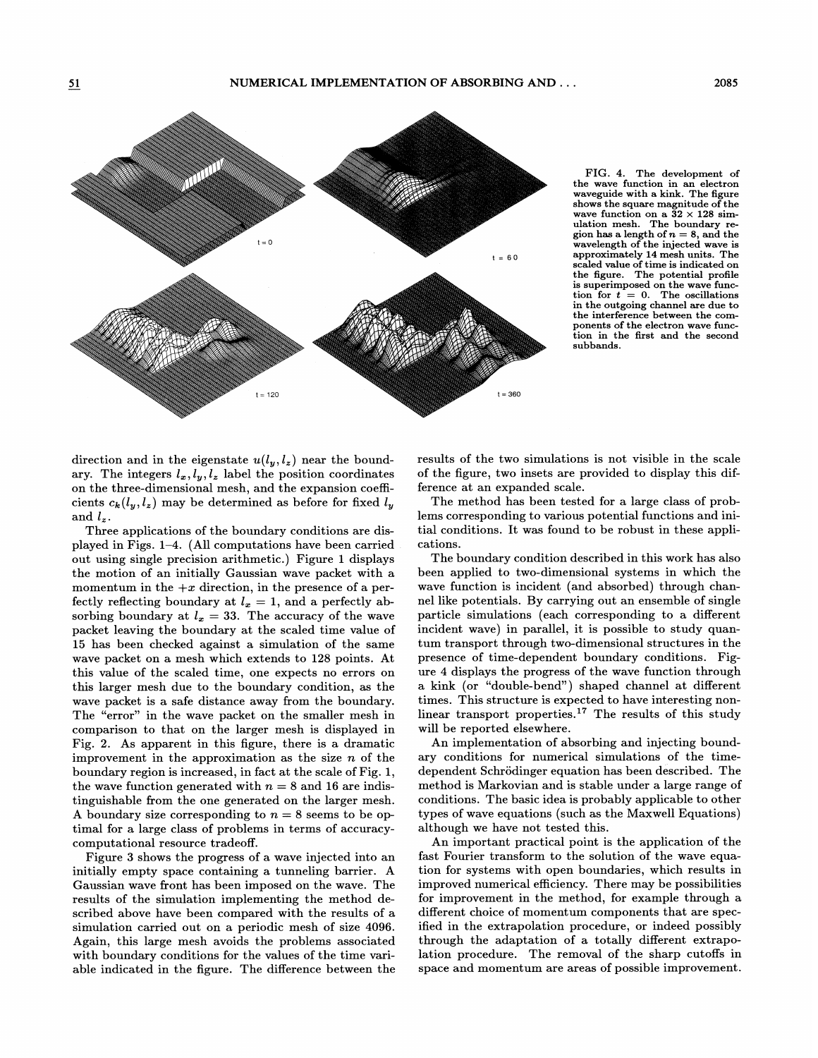

FIG. 4. The development of the wave function in an electron waveguide with a kink. The figure shows the square magnitude of the wave function on a  $32 \times 128$  sim-<br>ulation mesh. The boundary remation mesn. The boundary re-<br>ion has a length of  $n = 8$ , and the<br>wavelength of the injected wave is approximately 14 mesh units. The scaled value of time is indicated on the figure. The potential profile is superimposed on the wave function for  $t = 0$ . The oscillations in the outgoing channel are due to the interference between the components of the electron wave function in the first and the second subbands.

direction and in the eigenstate  $u(l_y, l_z)$  near the boundary. The integers  $l_x, l_y, l_z$  label the position coordinates on the three-dimensional mesh, and the expansion coefficients  $c_k(l_y, l_z)$  may be determined as before for fixed  $l_y$ and  $l_z$ .

Three applications of the boundary conditions are displayed in Figs. <sup>1</sup>—4. (All computations have been carried out using single precision arithmetic. ) Figure 1 displays the motion of an initially Gaussian wave packet with a momentum in the  $+x$  direction, in the presence of a perfectly reflecting boundary at  $l_x = 1$ , and a perfectly absorbing boundary at  $l_x = 33$ . The accuracy of the wave packet leaving the boundary at the scaled time value of 15 has been checked against a simulation of the same wave packet on a mesh which extends to 128 points. At this value of the scaled time, one expects no errors on this larger mesh due to the boundary condition, as the wave packet is a safe distance away from the boundary. The "error" in the wave packet on the smaller mesh in comparison to that on the larger mesh is displayed in Fig. 2. As apparent in this figure, there is a dramatic improvement in the approximation as the size  $n$  of the boundary region is increased, in fact at the scale of Fig. 1, the wave function generated with  $n = 8$  and 16 are indistinguishable from the one generated on the larger mesh. A boundary size corresponding to  $n = 8$  seems to be optimal for a large class of problems in terms of accuracycomputational resource tradeoff

Figure 3 shows the progress of a wave injected into an initially empty space containing a tunneling barrier. A Gaussian wave front has been imposed on the wave. The results of the simulation implementing the method described above have been compared with the results of a simulation carried out on a periodic mesh of size 4096. Again, this large mesh avoids the problems associated with boundary conditions for the values of the time variable indicated in the figure. The difference between the results of the two simulations is not visible in the scale of the figure, two insets are provided to display this difference at an expanded scale.

The method has been tested for a large class of problems corresponding to various potential functions and initial conditions. It was found to be robust in these applications.

The boundary condition described in this work has also been applied to two-dimensional systems in which the wave function is incident (and absorbed) through channel like potentials. By carrying out an ensemble of single particle simulations (each corresponding to a different incident wave) in parallel, it is possible to study quantum transport through two-dimensional structures in the presence of time-dependent boundary conditions. Figure 4 displays the progress of the wave function through a kink (or "double-bend") shaped channel at different times. This structure is expected to have interesting nonlinear transport properties.<sup>17</sup> The results of this study will be reported elsewhere.

An implementation of absorbing and injecting boundary conditions for numerical simulations of the timedependent Schrödinger equation has been described. The method is Markovian and is stable under a large range of conditions. The basic idea is probably applicable to other types of wave equations (such as the Maxwell Equations) although we have not tested this.

An important practical point is the application of the fast Fourier transform to the solution of the wave equation for systems with open boundaries, which results in improved numerical efficiency. There may be possibilities for improvement in the method, for example through a different choice of momentum components that are specified in the extrapolation procedure, or indeed possibly through the adaptation of a totally diferent extrapolation procedure. The removal of the sharp cutoffs in space and momentum are areas of possible improvement.